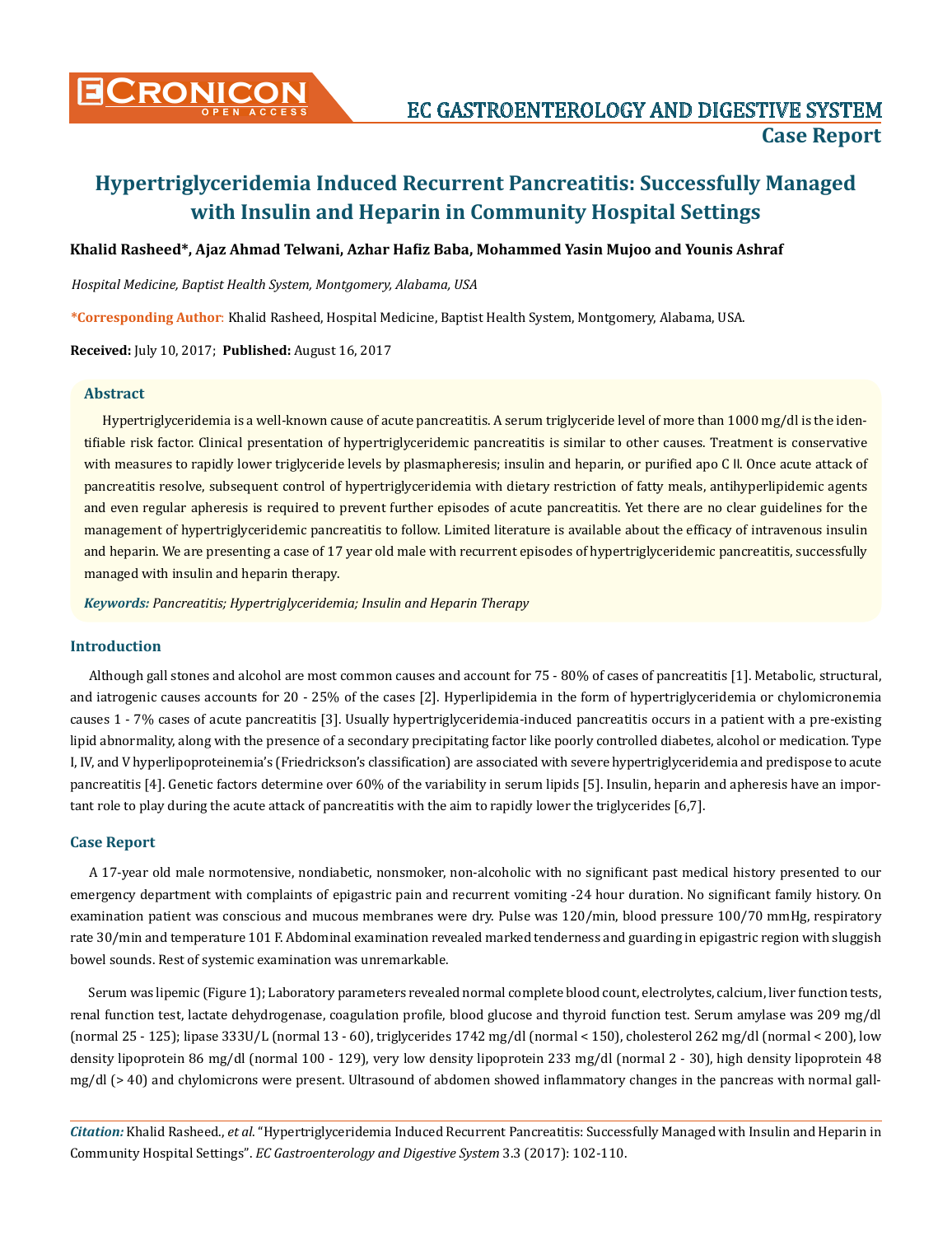

#### **Khalid Rasheed\*, Ajaz Ahmad Telwani, Azhar Hafiz Baba, Mohammed Yasin Mujoo and Younis Ashraf**

*Hospital Medicine, Baptist Health System, Montgomery, Alabama, USA*

**\*Corresponding Author**: Khalid Rasheed, Hospital Medicine, Baptist Health System, Montgomery, Alabama, USA.

**Received:** July 10, 2017; **Published:** August 16, 2017

#### **Abstract**

Hypertriglyceridemia is a well-known cause of acute pancreatitis. A serum triglyceride level of more than 1000 mg/dl is the identifiable risk factor. Clinical presentation of hypertriglyceridemic pancreatitis is similar to other causes. Treatment is conservative with measures to rapidly lower triglyceride levels by plasmapheresis; insulin and heparin, or purified apo C II. Once acute attack of pancreatitis resolve, subsequent control of hypertriglyceridemia with dietary restriction of fatty meals, antihyperlipidemic agents and even regular apheresis is required to prevent further episodes of acute pancreatitis. Yet there are no clear guidelines for the management of hypertriglyceridemic pancreatitis to follow. Limited literature is available about the efficacy of intravenous insulin and heparin. We are presenting a case of 17 year old male with recurrent episodes of hypertriglyceridemic pancreatitis, successfully managed with insulin and heparin therapy.

*Keywords: Pancreatitis; Hypertriglyceridemia; Insulin and Heparin Therapy*

### **Introduction**

Although gall stones and alcohol are most common causes and account for 75 - 80% of cases of pancreatitis [1]. Metabolic, structural, and iatrogenic causes accounts for 20 - 25% of the cases [2]. Hyperlipidemia in the form of hypertriglyceridemia or chylomicronemia causes 1 - 7% cases of acute pancreatitis [3]. Usually hypertriglyceridemia-induced pancreatitis occurs in a patient with a pre-existing lipid abnormality, along with the presence of a secondary precipitating factor like poorly controlled diabetes, alcohol or medication. Type I, IV, and V hyperlipoproteinemia's (Friedrickson's classification) are associated with severe hypertriglyceridemia and predispose to acute pancreatitis [4]. Genetic factors determine over 60% of the variability in serum lipids [5]. Insulin, heparin and apheresis have an important role to play during the acute attack of pancreatitis with the aim to rapidly lower the triglycerides [6,7].

### **Case Report**

A 17-year old male normotensive, nondiabetic, nonsmoker, non-alcoholic with no significant past medical history presented to our emergency department with complaints of epigastric pain and recurrent vomiting -24 hour duration. No significant family history. On examination patient was conscious and mucous membranes were dry. Pulse was 120/min, blood pressure 100/70 mmHg, respiratory rate 30/min and temperature 101 F. Abdominal examination revealed marked tenderness and guarding in epigastric region with sluggish bowel sounds. Rest of systemic examination was unremarkable.

Serum was lipemic (Figure 1); Laboratory parameters revealed normal complete blood count, electrolytes, calcium, liver function tests, renal function test, lactate dehydrogenase, coagulation profile, blood glucose and thyroid function test. Serum amylase was 209 mg/dl (normal 25 - 125); lipase 333U/L (normal 13 - 60), triglycerides 1742 mg/dl (normal < 150), cholesterol 262 mg/dl (normal < 200), low density lipoprotein 86 mg/dl (normal 100 - 129), very low density lipoprotein 233 mg/dl (normal 2 - 30), high density lipoprotein 48 mg/dl (> 40) and chylomicrons were present. Ultrasound of abdomen showed inflammatory changes in the pancreas with normal gall-

*Citation:* Khalid Rasheed., *et al*. "Hypertriglyceridemia Induced Recurrent Pancreatitis: Successfully Managed with Insulin and Heparin in Community Hospital Settings". *EC Gastroenterology and Digestive System* 3.3 (2017): 102-110.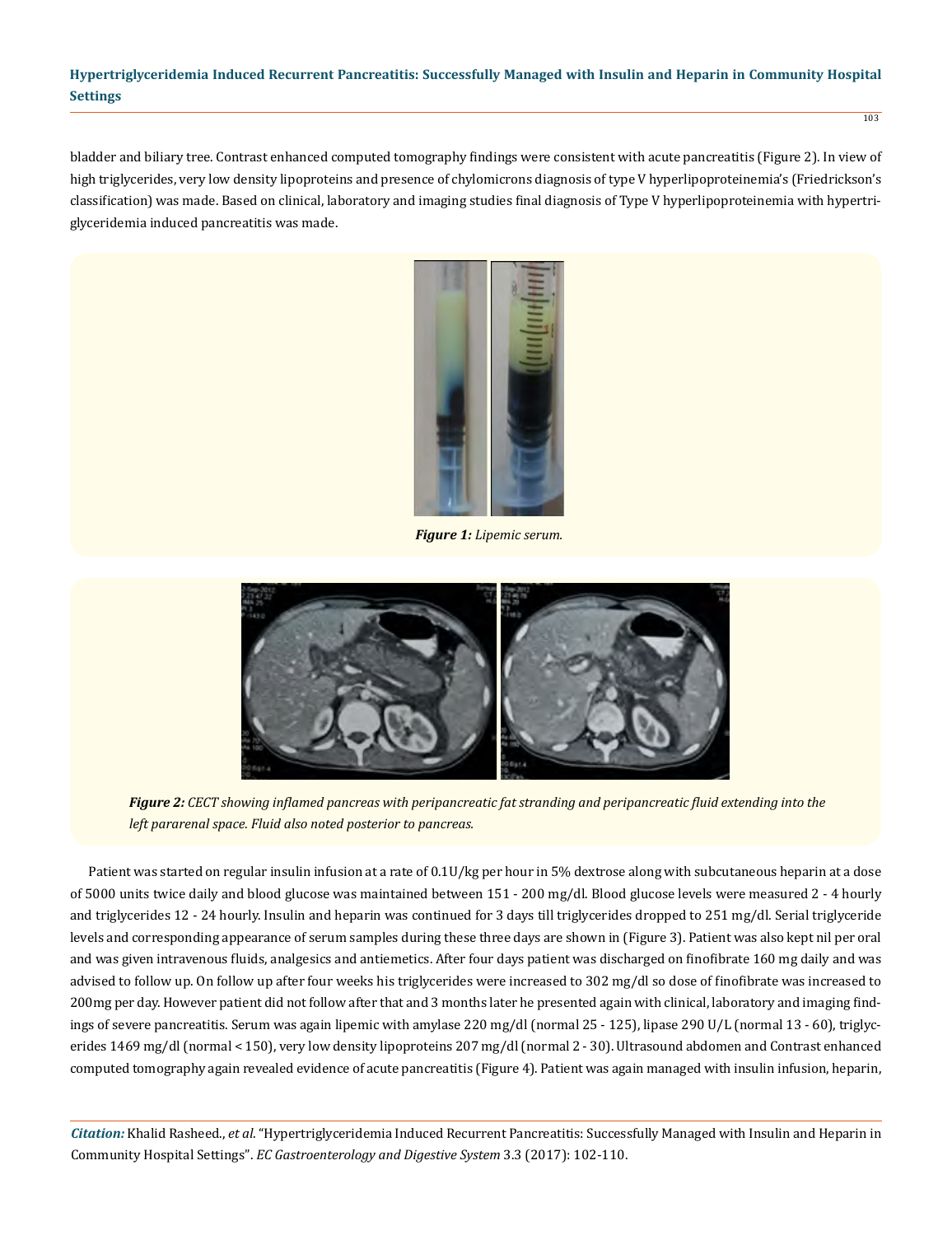bladder and biliary tree. Contrast enhanced computed tomography findings were consistent with acute pancreatitis (Figure 2). In view of high triglycerides, very low density lipoproteins and presence of chylomicrons diagnosis of type V hyperlipoproteinemia's (Friedrickson's classification) was made. Based on clinical, laboratory and imaging studies final diagnosis of Type V hyperlipoproteinemia with hypertriglyceridemia induced pancreatitis was made.



 *Figure 1: Lipemic serum.*



*Figure 2: CECT showing inflamed pancreas with peripancreatic fat stranding and peripancreatic fluid extending into the left pararenal space. Fluid also noted posterior to pancreas.*

Patient was started on regular insulin infusion at a rate of 0.1U/kg per hour in 5% dextrose along with subcutaneous heparin at a dose of 5000 units twice daily and blood glucose was maintained between 151 - 200 mg/dl. Blood glucose levels were measured 2 - 4 hourly and triglycerides 12 - 24 hourly. Insulin and heparin was continued for 3 days till triglycerides dropped to 251 mg/dl. Serial triglyceride levels and corresponding appearance of serum samples during these three days are shown in (Figure 3). Patient was also kept nil per oral and was given intravenous fluids, analgesics and antiemetics. After four days patient was discharged on finofibrate 160 mg daily and was advised to follow up. On follow up after four weeks his triglycerides were increased to 302 mg/dl so dose of finofibrate was increased to 200mg per day. However patient did not follow after that and 3 months later he presented again with clinical, laboratory and imaging findings of severe pancreatitis. Serum was again lipemic with amylase 220 mg/dl (normal 25 - 125), lipase 290 U/L (normal 13 - 60), triglycerides 1469 mg/dl (normal < 150), very low density lipoproteins 207 mg/dl (normal 2 - 30). Ultrasound abdomen and Contrast enhanced computed tomography again revealed evidence of acute pancreatitis (Figure 4). Patient was again managed with insulin infusion, heparin,

*Citation:* Khalid Rasheed., *et al*. "Hypertriglyceridemia Induced Recurrent Pancreatitis: Successfully Managed with Insulin and Heparin in Community Hospital Settings". *EC Gastroenterology and Digestive System* 3.3 (2017): 102-110.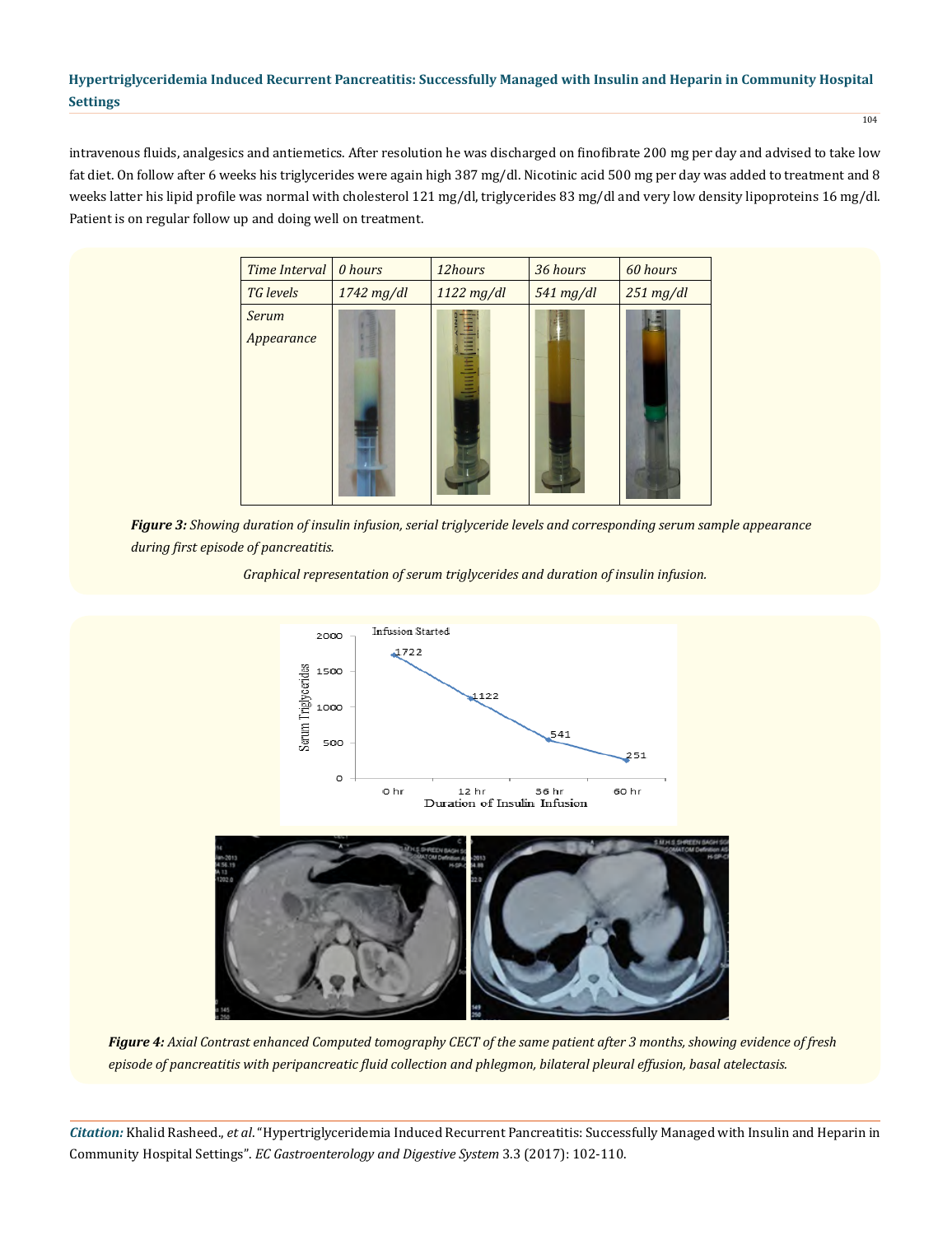intravenous fluids, analgesics and antiemetics. After resolution he was discharged on finofibrate 200 mg per day and advised to take low fat diet. On follow after 6 weeks his triglycerides were again high 387 mg/dl. Nicotinic acid 500 mg per day was added to treatment and 8 weeks latter his lipid profile was normal with cholesterol 121 mg/dl, triglycerides 83 mg/dl and very low density lipoproteins 16 mg/dl. Patient is on regular follow up and doing well on treatment.

| Time Interval              | 0 hours      | 12hours       | 36 hours  | 60 hours       |
|----------------------------|--------------|---------------|-----------|----------------|
| TG levels                  | $1742$ mg/dl | 1122 mg/dl    | 541 mg/dl | $251 \, mg/dl$ |
| <b>Serum</b><br>Appearance |              | <b>Humili</b> |           |                |

*Figure 3: Showing duration of insulin infusion, serial triglyceride levels and corresponding serum sample appearance during first episode of pancreatitis.*





*Figure 4: Axial Contrast enhanced Computed tomography CECT of the same patient after 3 months, showing evidence of fresh episode of pancreatitis with peripancreatic fluid collection and phlegmon, bilateral pleural effusion, basal atelectasis.*

*Citation:* Khalid Rasheed., *et al*. "Hypertriglyceridemia Induced Recurrent Pancreatitis: Successfully Managed with Insulin and Heparin in Community Hospital Settings". *EC Gastroenterology and Digestive System* 3.3 (2017): 102-110.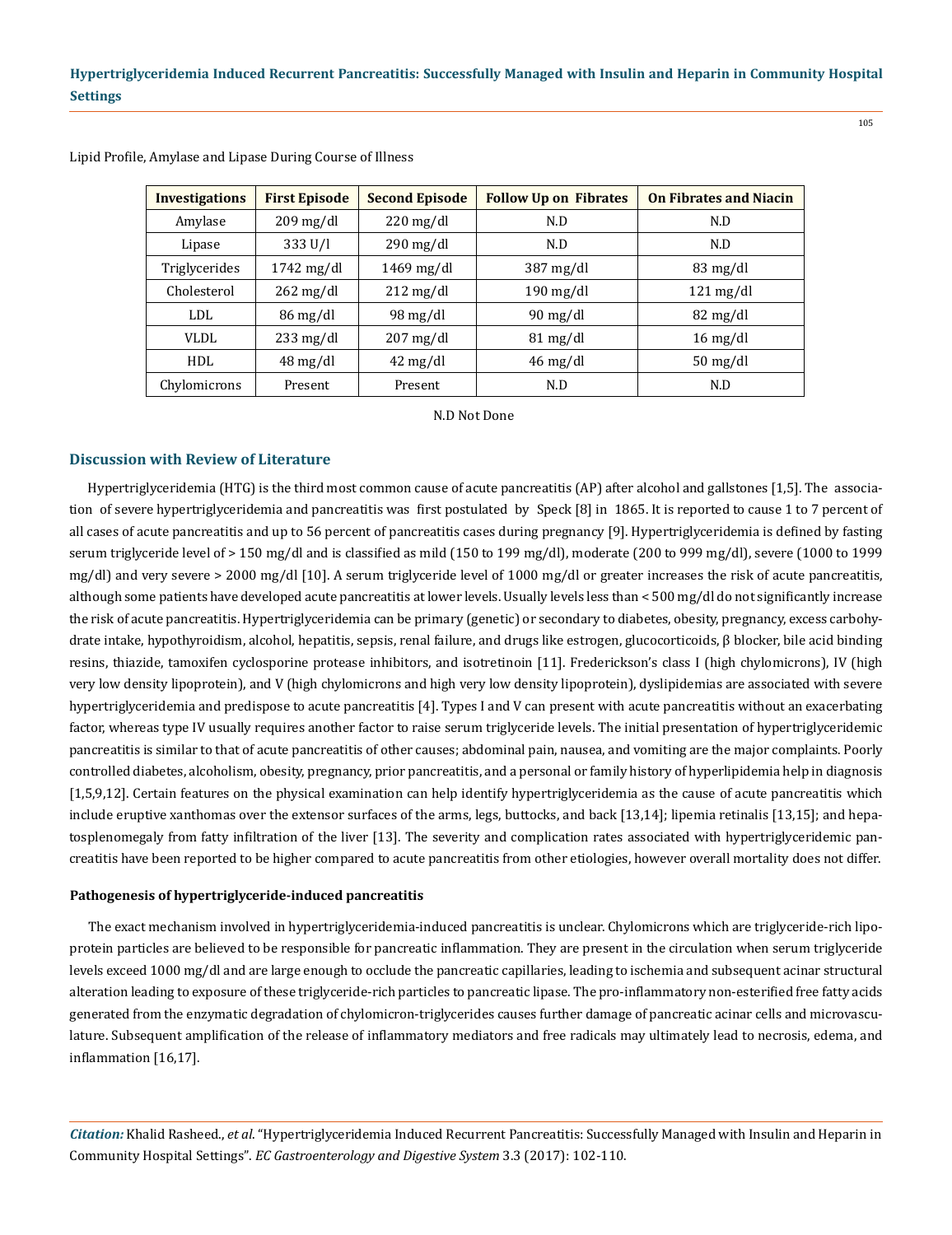| <b>Investigations</b> | <b>First Episode</b>   | <b>Second Episode</b>  | <b>Follow Up on Fibrates</b> | <b>On Fibrates and Niacin</b>    |
|-----------------------|------------------------|------------------------|------------------------------|----------------------------------|
| Amylase               | $209 \,\mathrm{mg/dl}$ | $220 \,\mathrm{mg/dl}$ | N.D                          | N.D                              |
| Lipase                | 333 U/I                | $290 \,\mathrm{mg/dl}$ | N.D                          | N.D                              |
| Triglycerides         | $1742 \text{ mg/dl}$   | $1469$ mg/dl           | $387 \text{ mg/dl}$          | $83 \text{ mg/dl}$               |
| Cholesterol           | $262 \text{ mg/dl}$    | $212 \text{ mg/dl}$    | $190 \text{ mg/dl}$          | $121 \text{ mg/dl}$              |
| LDL.                  | $86 \,\mathrm{mg/dl}$  | $98 \text{ mg/dl}$     | $90 \,\mathrm{mg/dl}$        | $82 \text{ mg/dl}$               |
| <b>VLDL</b>           | $233 \text{ mg/dl}$    | $207 \text{ mg/dl}$    | $81 \,\mathrm{mg/dl}$        | $16 \text{ mg/dl}$               |
| HDL                   | $48 \,\mathrm{mg/dl}$  | $42 \text{ mg/dl}$     | $46 \text{ mg/dl}$           | $50 \frac{\text{mg}}{\text{dl}}$ |
| Chylomicrons          | Present                | Present                | N.D                          | N.D                              |

Lipid Profile, Amylase and Lipase During Course of Illness

N.D Not Done

## **Discussion with Review of Literature**

Hypertriglyceridemia (HTG) is the third most common cause of acute pancreatitis (AP) after alcohol and gallstones [1,5]. The association of severe hypertriglyceridemia and pancreatitis was first postulated by Speck [8] in 1865. It is reported to cause 1 to 7 percent of all cases of acute pancreatitis and up to 56 percent of pancreatitis cases during pregnancy [9]. Hypertriglyceridemia is defined by fasting serum triglyceride level of > 150 mg/dl and is classified as mild (150 to 199 mg/dl), moderate (200 to 999 mg/dl), severe (1000 to 1999 mg/dl) and very severe > 2000 mg/dl [10]. A serum triglyceride level of 1000 mg/dl or greater increases the risk of acute pancreatitis, although some patients have developed acute pancreatitis at lower levels. Usually levels less than < 500 mg/dl do not significantly increase the risk of acute pancreatitis. Hypertriglyceridemia can be primary (genetic) or secondary to diabetes, obesity, pregnancy, excess carbohydrate intake, hypothyroidism, alcohol, hepatitis, sepsis, renal failure, and drugs like estrogen, glucocorticoids, β blocker, bile acid binding resins, thiazide, tamoxifen cyclosporine protease inhibitors, and isotretinoin [11]. Frederickson's class I (high chylomicrons), IV (high very low density lipoprotein), and V (high chylomicrons and high very low density lipoprotein), dyslipidemias are associated with severe hypertriglyceridemia and predispose to acute pancreatitis [4]. Types I and V can present with acute pancreatitis without an exacerbating factor, whereas type IV usually requires another factor to raise serum triglyceride levels. The initial presentation of hypertriglyceridemic pancreatitis is similar to that of acute pancreatitis of other causes; abdominal pain, nausea, and vomiting are the major complaints. Poorly controlled diabetes, alcoholism, obesity, pregnancy, prior pancreatitis, and a personal or family history of hyperlipidemia help in diagnosis [1,5,9,12]. Certain features on the physical examination can help identify hypertriglyceridemia as the cause of acute pancreatitis which include eruptive xanthomas over the extensor surfaces of the arms, legs, buttocks, and back [13,14]; lipemia retinalis [13,15]; and hepatosplenomegaly from fatty infiltration of the liver [13]. The severity and complication rates associated with hypertriglyceridemic pancreatitis have been reported to be higher compared to acute pancreatitis from other etiologies, however overall mortality does not differ.

#### **Pathogenesis of hypertriglyceride-induced pancreatitis**

The exact mechanism involved in hypertriglyceridemia-induced pancreatitis is unclear. Chylomicrons which are triglyceride-rich lipoprotein particles are believed to be responsible for pancreatic inflammation. They are present in the circulation when serum triglyceride levels exceed 1000 mg/dl and are large enough to occlude the pancreatic capillaries, leading to ischemia and subsequent acinar structural alteration leading to exposure of these triglyceride-rich particles to pancreatic lipase. The pro-inflammatory non-esterified free fatty acids generated from the enzymatic degradation of chylomicron-triglycerides causes further damage of pancreatic acinar cells and microvasculature. Subsequent amplification of the release of inflammatory mediators and free radicals may ultimately lead to necrosis, edema, and inflammation [16,17].

*Citation:* Khalid Rasheed., *et al*. "Hypertriglyceridemia Induced Recurrent Pancreatitis: Successfully Managed with Insulin and Heparin in Community Hospital Settings". *EC Gastroenterology and Digestive System* 3.3 (2017): 102-110.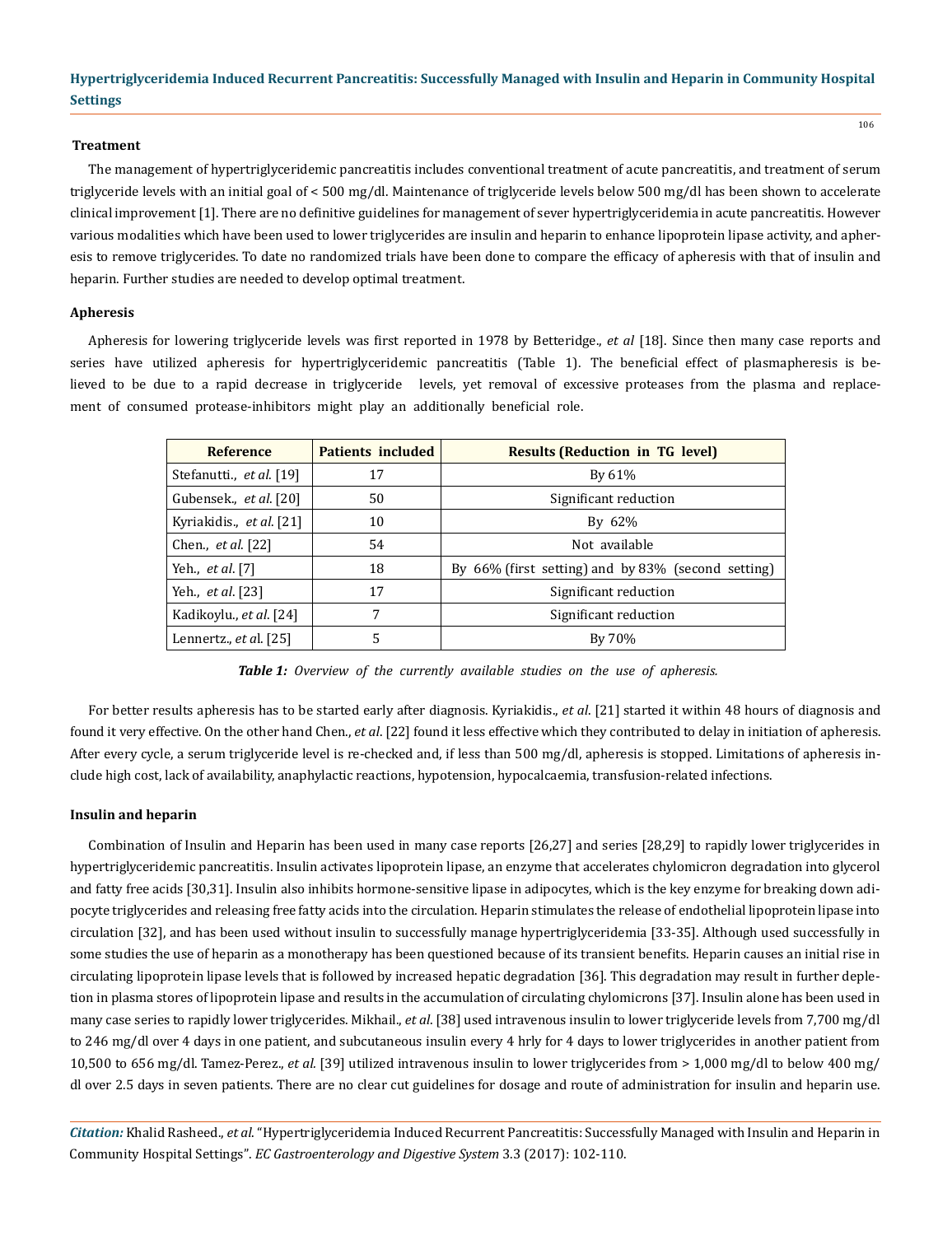#### **Treatment**

The management of hypertriglyceridemic pancreatitis includes conventional treatment of acute pancreatitis, and treatment of serum triglyceride levels with an initial goal of < 500 mg/dl. Maintenance of triglyceride levels below 500 mg/dl has been shown to accelerate clinical improvement [1]. There are no definitive guidelines for management of sever hypertriglyceridemia in acute pancreatitis. However various modalities which have been used to lower triglycerides are insulin and heparin to enhance lipoprotein lipase activity, and apheresis to remove triglycerides. To date no randomized trials have been done to compare the efficacy of apheresis with that of insulin and heparin. Further studies are needed to develop optimal treatment.

#### **Apheresis**

Apheresis for lowering triglyceride levels was first reported in 1978 by Betteridge., *et al* [18]. Since then many case reports and series have utilized apheresis for hypertriglyceridemic pancreatitis (Table 1). The beneficial effect of plasmapheresis is believed to be due to a rapid decrease in triglyceride levels, yet removal of excessive proteases from the plasma and replacement of consumed protease-inhibitors might play an additionally beneficial role.

| <b>Reference</b>          | <b>Patients included</b> | <b>Results (Reduction in TG level)</b>                |
|---------------------------|--------------------------|-------------------------------------------------------|
| Stefanutti., et al. [19]  | 17                       | By 61%                                                |
| Gubensek., et al. [20]    | 50                       | Significant reduction                                 |
| Kyriakidis., et al. [21]  | 10                       | By $62\%$                                             |
| Chen., <i>et al.</i> [22] | 54                       | Not available                                         |
| Yeh., <i>et al.</i> [7]   | 18                       | By $66\%$ (first setting) and by 83% (second setting) |
| Yeh., <i>et al.</i> [23]  | 17                       | Significant reduction                                 |
| Kadikoylu., et al. [24]   | 7                        | Significant reduction                                 |
| Lennertz., $et al. [25]$  | 5                        | By 70%                                                |

*Table 1: Overview of the currently available studies on the use of apheresis.*

For better results apheresis has to be started early after diagnosis. Kyriakidis., *et al*. [21] started it within 48 hours of diagnosis and found it very effective. On the other hand Chen., *et al*. [22] found it less effective which they contributed to delay in initiation of apheresis. After every cycle, a serum triglyceride level is re-checked and, if less than 500 mg/dl, apheresis is stopped. Limitations of apheresis include high cost, lack of availability, anaphylactic reactions, hypotension, hypocalcaemia, transfusion-related infections.

#### **Insulin and heparin**

Combination of Insulin and Heparin has been used in many case reports [26,27] and series [28,29] to rapidly lower triglycerides in hypertriglyceridemic pancreatitis. Insulin activates lipoprotein lipase, an enzyme that accelerates chylomicron degradation into glycerol and fatty free acids [30,31]. Insulin also inhibits hormone-sensitive lipase in adipocytes, which is the key enzyme for breaking down adipocyte triglycerides and releasing free fatty acids into the circulation. Heparin stimulates the release of endothelial lipoprotein lipase into circulation [32], and has been used without insulin to successfully manage hypertriglyceridemia [33-35]. Although used successfully in some studies the use of heparin as a monotherapy has been questioned because of its transient benefits. Heparin causes an initial rise in circulating lipoprotein lipase levels that is followed by increased hepatic degradation [36]. This degradation may result in further depletion in plasma stores of lipoprotein lipase and results in the accumulation of circulating chylomicrons [37]. Insulin alone has been used in many case series to rapidly lower triglycerides. Mikhail., *et al*. [38] used intravenous insulin to lower triglyceride levels from 7,700 mg/dl to 246 mg/dl over 4 days in one patient, and subcutaneous insulin every 4 hrly for 4 days to lower triglycerides in another patient from 10,500 to 656 mg/dl. Tamez-Perez., *et al.* [39] utilized intravenous insulin to lower triglycerides from > 1,000 mg/dl to below 400 mg/ dl over 2.5 days in seven patients. There are no clear cut guidelines for dosage and route of administration for insulin and heparin use.

*Citation:* Khalid Rasheed., *et al*. "Hypertriglyceridemia Induced Recurrent Pancreatitis: Successfully Managed with Insulin and Heparin in Community Hospital Settings". *EC Gastroenterology and Digestive System* 3.3 (2017): 102-110.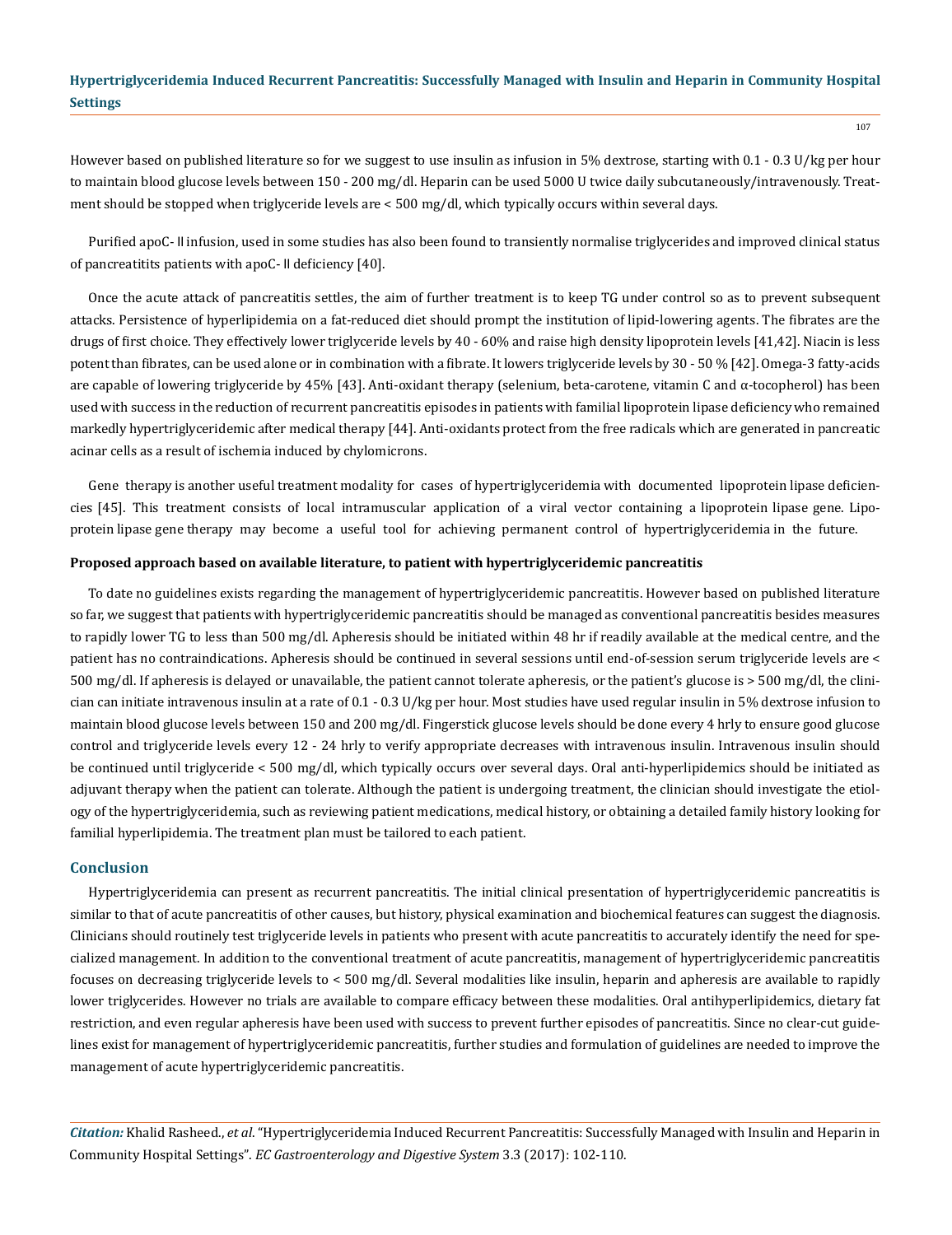However based on published literature so for we suggest to use insulin as infusion in 5% dextrose, starting with 0.1 - 0.3 U/kg per hour to maintain blood glucose levels between 150 - 200 mg/dl. Heparin can be used 5000 U twice daily subcutaneously/intravenously. Treatment should be stopped when triglyceride levels are < 500 mg/dl, which typically occurs within several days.

Purified apoC- II infusion, used in some studies has also been found to transiently normalise triglycerides and improved clinical status of pancreatitits patients with apoC- II deficiency [40].

Once the acute attack of pancreatitis settles, the aim of further treatment is to keep TG under control so as to prevent subsequent attacks. Persistence of hyperlipidemia on a fat-reduced diet should prompt the institution of lipid-lowering agents. The fibrates are the drugs of first choice. They effectively lower triglyceride levels by 40 - 60% and raise high density lipoprotein levels [41,42]. Niacin is less potent than fibrates, can be used alone or in combination with a fibrate. It lowers triglyceride levels by 30 - 50 % [42]. Omega-3 fatty-acids are capable of lowering triglyceride by 45% [43]. Anti-oxidant therapy (selenium, beta-carotene, vitamin C and  $\alpha$ -tocopherol) has been used with success in the reduction of recurrent pancreatitis episodes in patients with familial lipoprotein lipase deficiency who remained markedly hypertriglyceridemic after medical therapy [44]. Anti-oxidants protect from the free radicals which are generated in pancreatic acinar cells as a result of ischemia induced by chylomicrons.

Gene therapy is another useful treatment modality for cases of hypertriglyceridemia with documented lipoprotein lipase deficiencies [45]. This treatment consists of local intramuscular application of a viral vector containing a lipoprotein lipase gene. Lipoprotein lipase gene therapy may become a useful tool for achieving permanent control of hypertriglyceridemia in the future.

#### **Proposed approach based on available literature, to patient with hypertriglyceridemic pancreatitis**

To date no guidelines exists regarding the management of hypertriglyceridemic pancreatitis. However based on published literature so far, we suggest that patients with hypertriglyceridemic pancreatitis should be managed as conventional pancreatitis besides measures to rapidly lower TG to less than 500 mg/dl. Apheresis should be initiated within 48 hr if readily available at the medical centre, and the patient has no contraindications. Apheresis should be continued in several sessions until end-of-session serum triglyceride levels are < 500 mg/dl. If apheresis is delayed or unavailable, the patient cannot tolerate apheresis, or the patient's glucose is > 500 mg/dl, the clinician can initiate intravenous insulin at a rate of 0.1 - 0.3 U/kg per hour. Most studies have used regular insulin in 5% dextrose infusion to maintain blood glucose levels between 150 and 200 mg/dl. Fingerstick glucose levels should be done every 4 hrly to ensure good glucose control and triglyceride levels every 12 - 24 hrly to verify appropriate decreases with intravenous insulin. Intravenous insulin should be continued until triglyceride < 500 mg/dl, which typically occurs over several days. Oral anti-hyperlipidemics should be initiated as adjuvant therapy when the patient can tolerate. Although the patient is undergoing treatment, the clinician should investigate the etiology of the hypertriglyceridemia, such as reviewing patient medications, medical history, or obtaining a detailed family history looking for familial hyperlipidemia. The treatment plan must be tailored to each patient.

#### **Conclusion**

Hypertriglyceridemia can present as recurrent pancreatitis. The initial clinical presentation of hypertriglyceridemic pancreatitis is similar to that of acute pancreatitis of other causes, but history, physical examination and biochemical features can suggest the diagnosis. Clinicians should routinely test triglyceride levels in patients who present with acute pancreatitis to accurately identify the need for specialized management. In addition to the conventional treatment of acute pancreatitis, management of hypertriglyceridemic pancreatitis focuses on decreasing triglyceride levels to < 500 mg/dl. Several modalities like insulin, heparin and apheresis are available to rapidly lower triglycerides. However no trials are available to compare efficacy between these modalities. Oral antihyperlipidemics, dietary fat restriction, and even regular apheresis have been used with success to prevent further episodes of pancreatitis. Since no clear-cut guidelines exist for management of hypertriglyceridemic pancreatitis, further studies and formulation of guidelines are needed to improve the management of acute hypertriglyceridemic pancreatitis.

*Citation:* Khalid Rasheed., *et al*. "Hypertriglyceridemia Induced Recurrent Pancreatitis: Successfully Managed with Insulin and Heparin in Community Hospital Settings". *EC Gastroenterology and Digestive System* 3.3 (2017): 102-110.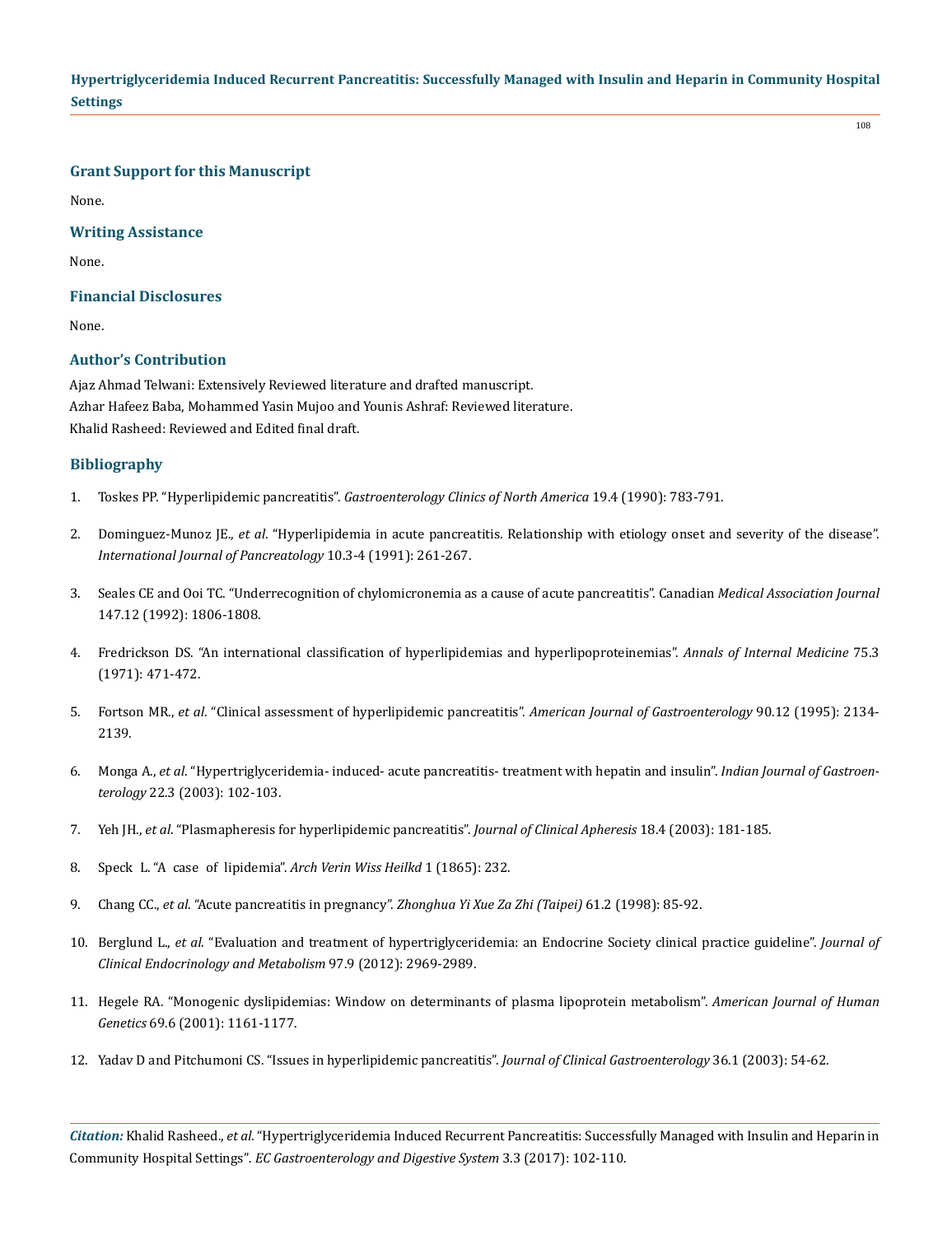108

**Grant Support for this Manuscript**

None.

## **Writing Assistance**

None.

## **Financial Disclosures**

None.

## **Author's Contribution**

Ajaz Ahmad Telwani: Extensively Reviewed literature and drafted manuscript. Azhar Hafeez Baba, Mohammed Yasin Mujoo and Younis Ashraf: Reviewed literature. Khalid Rasheed: Reviewed and Edited final draft.

## **Bibliography**

- 1. Toskes PP. "Hyperlipidemic pancreatitis". *[Gastroenterology Clinics of North America](https://www.ncbi.nlm.nih.gov/pubmed/2269517)* 19.4 (1990): 783-791.
- 2. Dominguez-Munoz JE., *et al*[. "Hyperlipidemia in acute pancreatitis. Relationship with etiology onset and severity of the disease".](https://www.ncbi.nlm.nih.gov/pubmed/1787337)  *[International Journal of Pancreatology](https://www.ncbi.nlm.nih.gov/pubmed/1787337)* 10.3-4 (1991): 261-267.
- 3. [Seales CE and Ooi TC. "Underrecognition of chylomicronemia as a cause of acute pancreatitis". Canadian](https://www.ncbi.nlm.nih.gov/pubmed/1458422) *Medical Association Journal*  [147.12 \(1992\): 1806-1808.](https://www.ncbi.nlm.nih.gov/pubmed/1458422)
- 4. [Fredrickson DS. "An international classification of hyperlipidemias and hyperlipoproteinemias".](https://www.ncbi.nlm.nih.gov/pubmed/5568160) *Annals of Internal Medicine* 75.3 [\(1971\): 471-472.](https://www.ncbi.nlm.nih.gov/pubmed/5568160)
- 5. Fortson MR., *et al*[. "Clinical assessment of hyperlipidemic pancreatitis".](https://www.ncbi.nlm.nih.gov/pubmed/8540502) *American Journal of Gastroenterology* 90.12 (1995): 2134- [2139.](https://www.ncbi.nlm.nih.gov/pubmed/8540502)
- 6. Monga A., *et al*[. "Hypertriglyceridemia- induced- acute pancreatitis- treatment with hepatin and insulin".](https://www.ncbi.nlm.nih.gov/pubmed/12839385) *Indian Journal of Gastroenterology* [22.3 \(2003\): 102-103.](https://www.ncbi.nlm.nih.gov/pubmed/12839385)
- 7. Yeh JH., *et al*[. "Plasmapheresis for hyperlipidemic pancreatitis".](https://www.ncbi.nlm.nih.gov/pubmed/14699594) *Journal of Clinical Apheresis* 18.4 (2003): 181-185.
- 8. Speck L. "A case of lipidemia". *Arch Verin Wiss Heilkd* 1 (1865): 232.
- 9. Chang CC., *et al*. "Acute pancreatitis in pregnancy". *[Zhonghua Yi Xue Za Zhi \(Taipei\)](https://www.ncbi.nlm.nih.gov/pubmed/9532870)* 61.2 (1998): 85-92.
- 10. Berglund L., *et al*[. "Evaluation and treatment of hypertriglyceridemia: an Endocrine Society clinical practice guideline".](https://www.ncbi.nlm.nih.gov/pubmed/22962670) *Journal of [Clinical Endocrinology and Metabolism](https://www.ncbi.nlm.nih.gov/pubmed/22962670)* 97.9 (2012): 2969-2989.
- 11. [Hegele RA. "Monogenic dyslipidemias: Window on determinants of plasma lipoprotein metabolism".](https://www.ncbi.nlm.nih.gov/pmc/articles/PMC1235529/) *American Journal of Human Genetics* [69.6 \(2001\): 1161-1177.](https://www.ncbi.nlm.nih.gov/pmc/articles/PMC1235529/)
- 12. [Yadav D and Pitchumoni CS. "Issues in hyperlipidemic pancreatitis".](https://www.ncbi.nlm.nih.gov/pubmed/12488710) *Journal of Clinical Gastroenterology* 36.1 (2003): 54-62.

*Citation:* Khalid Rasheed., *et al*. "Hypertriglyceridemia Induced Recurrent Pancreatitis: Successfully Managed with Insulin and Heparin in Community Hospital Settings". *EC Gastroenterology and Digestive System* 3.3 (2017): 102-110.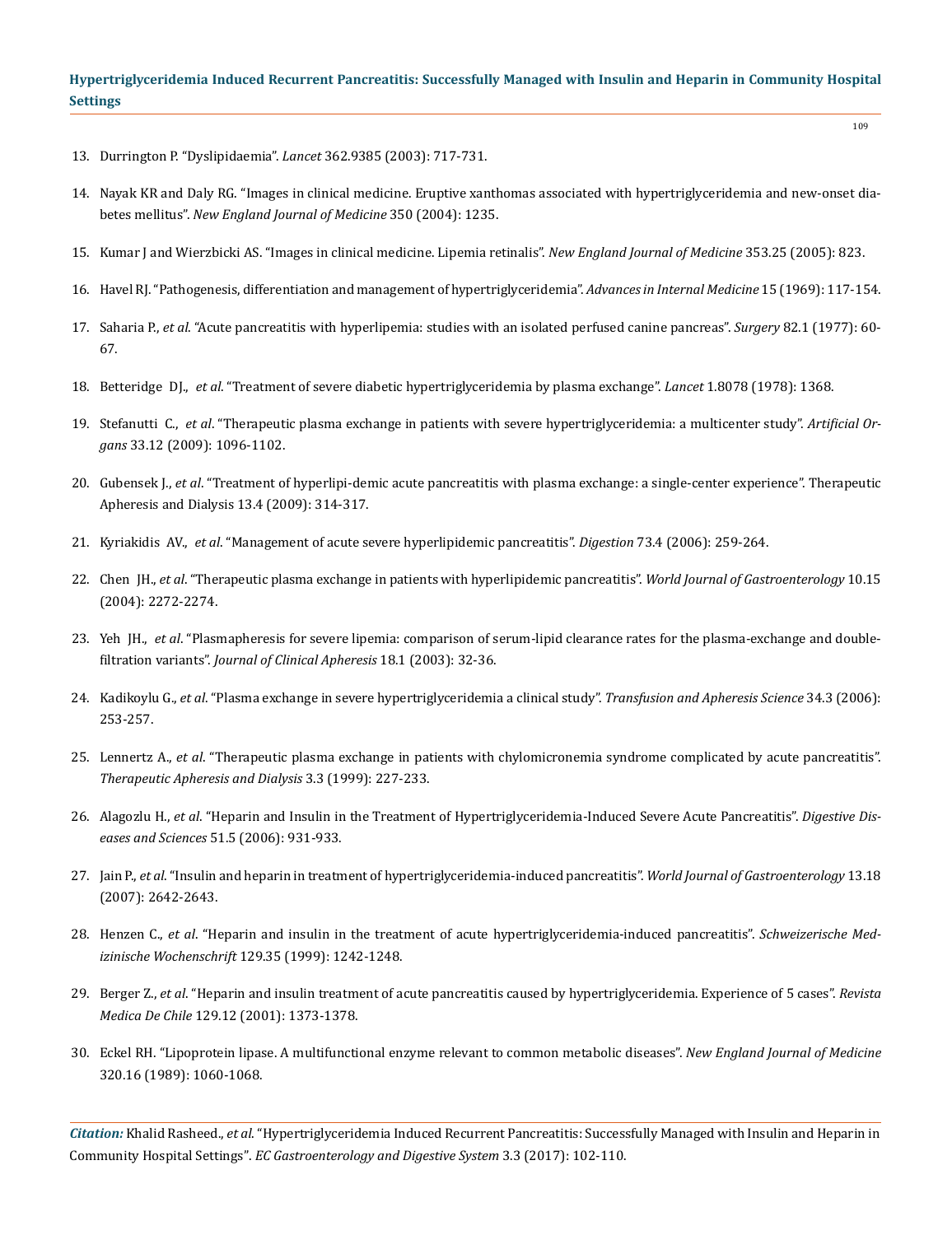- 13. [Durrington P. "Dyslipidaemia".](https://www.ncbi.nlm.nih.gov/pubmed/12957096) *Lancet* 362.9385 (2003): 717-731.
- 14. Nayak KR and Daly RG. "Images in clinical medicine. Eruptive xanthomas associated with hypertriglyceridemia and new-onset diabetes mellitus". *New England Journal of Medicine* 350 (2004): 1235.
- 15. [Kumar J and Wierzbicki AS. "Images in clinical medicine. Lipemia retinalis".](https://www.ncbi.nlm.nih.gov/pubmed/10379021) *New England Journal of Medicine* 353.25 (2005): 823.
- 16. [Havel RJ. "Pathogenesis, differentiation and management of hypertriglyceridemia".](https://www.ncbi.nlm.nih.gov/pubmed/4908616) *Advances in Internal Medicine* 15 (1969): 117-154.
- 17. Saharia P., *et al*[. "Acute pancreatitis with hyperlipemia: studies with an isolated perfused canine pancreas".](https://www.ncbi.nlm.nih.gov/pubmed/877857) *Surgery* 82.1 (1977): 60- [67.](https://www.ncbi.nlm.nih.gov/pubmed/877857)
- 18. Betteridge DJ., *et al*[. "Treatment of severe diabetic hypertriglyceridemia by plasma exchange".](http://www.sciencedirect.com/science/article/pii/S0140673678924509?_rdoc=1&_fmt=high&_origin=gateway&_docanchor=&md5=b8429449ccfc9c30159a5f9aeaa92ffb) *Lancet* 1.8078 (1978): 1368.
- 19. Stefanutti C., *et al*[. "Therapeutic plasma exchange in patients with severe hypertriglyceridemia: a multicenter study".](https://www.ncbi.nlm.nih.gov/pubmed/20091936) *Artificial Organs* [33.12 \(2009\): 1096-1102.](https://www.ncbi.nlm.nih.gov/pubmed/20091936)
- 20. Gubensek J., *et al*[. "Treatment of hyperlipi-demic acute pancreatitis with plasma exchange: a single-center experience". Therapeutic](https://www.ncbi.nlm.nih.gov/pubmed/19695066)  [Apheresis and Dialysis 13.4 \(2009\): 314-317.](https://www.ncbi.nlm.nih.gov/pubmed/19695066)
- 21. Kyriakidis AV., *et al*[. "Management of acute severe hyperlipidemic pancreatitis".](https://www.ncbi.nlm.nih.gov/pubmed/16940728) *Digestion* 73.4 (2006): 259-264.
- 22. Chen JH., *et al*[. "Therapeutic plasma exchange in patients with hyperlipidemic pancreatitis".](https://www.ncbi.nlm.nih.gov/pubmed/15259080) *World Journal of Gastroenterology* 10.15 [\(2004\): 2272-2274.](https://www.ncbi.nlm.nih.gov/pubmed/15259080)
- 23. Yeh JH., *et al*[. "Plasmapheresis for severe lipemia: comparison of serum-lipid clearance rates for the plasma-exchange and double](https://www.ncbi.nlm.nih.gov/pubmed/12717791)filtration variants". *[Journal of Clinical Apheresis](https://www.ncbi.nlm.nih.gov/pubmed/12717791)* 18.1 (2003): 32-36.
- 24. Kadikoylu G., *et al*[. "Plasma exchange in severe hypertriglyceridemia a clinical study".](https://www.ncbi.nlm.nih.gov/pubmed/16798091) *Transfusion and Apheresis Science* 34.3 (2006): [253-257.](https://www.ncbi.nlm.nih.gov/pubmed/16798091)
- 25. Lennertz A., *et al*[. "Therapeutic plasma exchange in patients with chylomicronemia syndrome complicated by acute pancreatitis".](https://www.ncbi.nlm.nih.gov/pubmed/10427620)  *[Therapeutic Apheresis and Dialysis](https://www.ncbi.nlm.nih.gov/pubmed/10427620)* 3.3 (1999): 227-233.
- 26. Alagozlu H., *et al*[. "Heparin and Insulin in the Treatment of Hypertriglyceridemia-Induced Severe Acute Pancreatitis".](https://www.ncbi.nlm.nih.gov/pubmed/16670939) *Digestive Diseases and Sciences* [51.5 \(2006\): 931-933.](https://www.ncbi.nlm.nih.gov/pubmed/16670939)
- 27. Jain P., *et al*[. "Insulin and heparin in treatment of hypertriglyceridemia-induced pancreatitis".](https://www.ncbi.nlm.nih.gov/pmc/articles/PMC4146833/) *World Journal of Gastroenterology* 13.18 [\(2007\): 2642-2643.](https://www.ncbi.nlm.nih.gov/pmc/articles/PMC4146833/)
- 28. Henzen C., *et al*[. "Heparin and insulin in the treatment of acute hypertriglyceridemia-induced pancreatitis".](https://www.ncbi.nlm.nih.gov/pubmed/10499250) *Schweizerische Medizinische Wochenschrift* [129.35 \(1999\): 1242-1248.](https://www.ncbi.nlm.nih.gov/pubmed/10499250)
- 29. Berger Z., *et al*[. "Heparin and insulin treatment of acute pancreatitis caused by hypertriglyceridemia. Experience of 5 cases".](https://www.ncbi.nlm.nih.gov/pubmed/12080874) *Revista Medica De Chile* [129.12 \(2001\): 1373-1378.](https://www.ncbi.nlm.nih.gov/pubmed/12080874)
- 30. [Eckel RH. "Lipoprotein lipase. A multifunctional enzyme relevant to common metabolic diseases".](https://www.ncbi.nlm.nih.gov/pubmed/2648155) *New England Journal of Medicine* [320.16 \(1989\): 1060-1068.](https://www.ncbi.nlm.nih.gov/pubmed/2648155)

*Citation:* Khalid Rasheed., *et al*. "Hypertriglyceridemia Induced Recurrent Pancreatitis: Successfully Managed with Insulin and Heparin in Community Hospital Settings". *EC Gastroenterology and Digestive System* 3.3 (2017): 102-110.